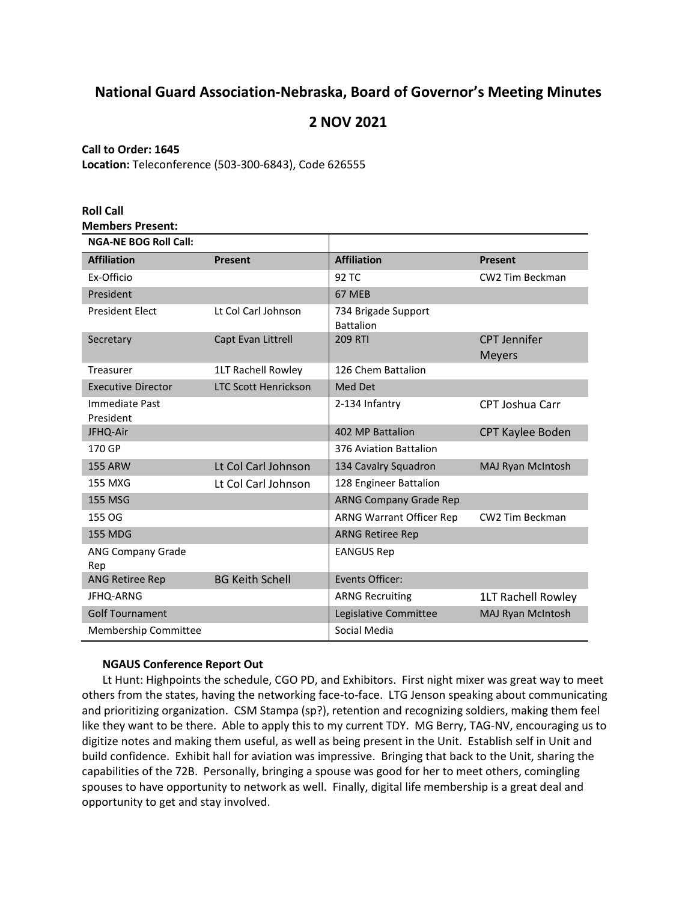# **National Guard Association-Nebraska, Board of Governor's Meeting Minutes**

# **2 NOV 2021**

# **Call to Order: 1645**

**Location:** Teleconference (503-300-6843), Code 626555

| <b>Roll Call</b>                |                             |                                         |                                      |
|---------------------------------|-----------------------------|-----------------------------------------|--------------------------------------|
| <b>Members Present:</b>         |                             |                                         |                                      |
| <b>NGA-NE BOG Roll Call:</b>    |                             |                                         |                                      |
| <b>Affiliation</b>              | Present                     | <b>Affiliation</b>                      | Present                              |
| Ex-Officio                      |                             | 92 TC                                   | CW2 Tim Beckman                      |
| President                       |                             | 67 MEB                                  |                                      |
| <b>President Elect</b>          | Lt Col Carl Johnson         | 734 Brigade Support<br><b>Battalion</b> |                                      |
| Secretary                       | Capt Evan Littrell          | <b>209 RTI</b>                          | <b>CPT Jennifer</b><br><b>Meyers</b> |
| Treasurer                       | 1LT Rachell Rowley          | 126 Chem Battalion                      |                                      |
| <b>Executive Director</b>       | <b>LTC Scott Henrickson</b> | Med Det                                 |                                      |
| Immediate Past<br>President     |                             | 2-134 Infantry                          | <b>CPT Joshua Carr</b>               |
| JFHQ-Air                        |                             | 402 MP Battalion                        | CPT Kaylee Boden                     |
| 170 GP                          |                             | 376 Aviation Battalion                  |                                      |
| <b>155 ARW</b>                  | Lt Col Carl Johnson         | 134 Cavalry Squadron                    | <b>MAJ Ryan McIntosh</b>             |
| <b>155 MXG</b>                  | Lt Col Carl Johnson         | 128 Engineer Battalion                  |                                      |
| <b>155 MSG</b>                  |                             | <b>ARNG Company Grade Rep</b>           |                                      |
| 155 OG                          |                             | <b>ARNG Warrant Officer Rep</b>         | CW2 Tim Beckman                      |
| <b>155 MDG</b>                  |                             | <b>ARNG Retiree Rep</b>                 |                                      |
| <b>ANG Company Grade</b><br>Rep |                             | <b>EANGUS Rep</b>                       |                                      |
| <b>ANG Retiree Rep</b>          | <b>BG Keith Schell</b>      | Events Officer:                         |                                      |
| JFHQ-ARNG                       |                             | <b>ARNG Recruiting</b>                  | 1LT Rachell Rowley                   |
| <b>Golf Tournament</b>          |                             | Legislative Committee                   | MAJ Ryan McIntosh                    |
| Membership Committee            |                             | Social Media                            |                                      |

# **NGAUS Conference Report Out**

Lt Hunt: Highpoints the schedule, CGO PD, and Exhibitors. First night mixer was great way to meet others from the states, having the networking face-to-face. LTG Jenson speaking about communicating and prioritizing organization. CSM Stampa (sp?), retention and recognizing soldiers, making them feel like they want to be there. Able to apply this to my current TDY. MG Berry, TAG-NV, encouraging us to digitize notes and making them useful, as well as being present in the Unit. Establish self in Unit and build confidence. Exhibit hall for aviation was impressive. Bringing that back to the Unit, sharing the capabilities of the 72B. Personally, bringing a spouse was good for her to meet others, comingling spouses to have opportunity to network as well. Finally, digital life membership is a great deal and opportunity to get and stay involved.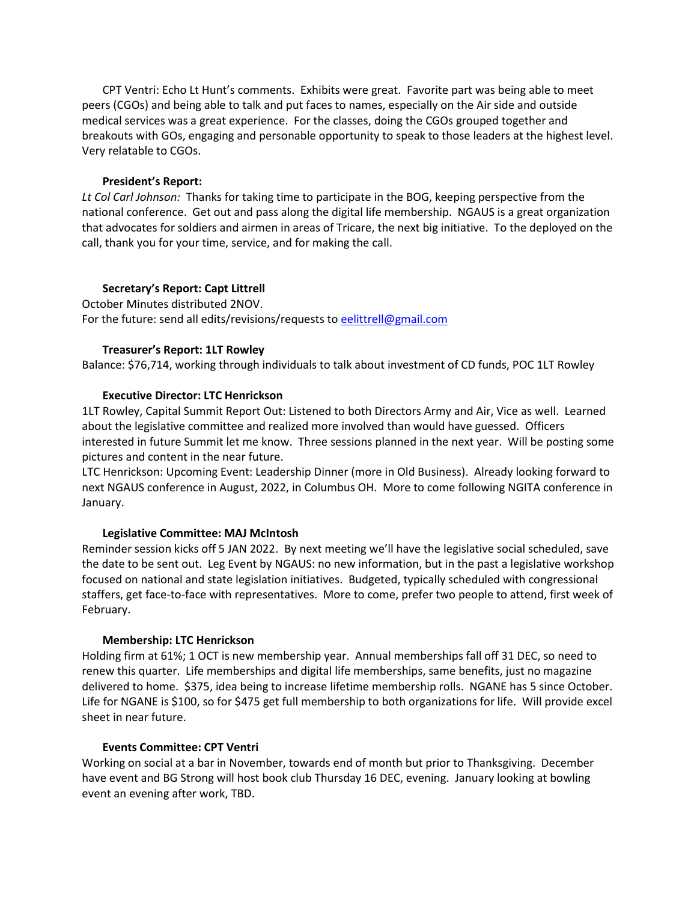CPT Ventri: Echo Lt Hunt's comments. Exhibits were great. Favorite part was being able to meet peers (CGOs) and being able to talk and put faces to names, especially on the Air side and outside medical services was a great experience. For the classes, doing the CGOs grouped together and breakouts with GOs, engaging and personable opportunity to speak to those leaders at the highest level. Very relatable to CGOs.

## **President's Report:**

*Lt Col Carl Johnson:*Thanks for taking time to participate in the BOG, keeping perspective from the national conference. Get out and pass along the digital life membership. NGAUS is a great organization that advocates for soldiers and airmen in areas of Tricare, the next big initiative. To the deployed on the call, thank you for your time, service, and for making the call.

## **Secretary's Report: Capt Littrell**

October Minutes distributed 2NOV. For the future: send all edits/revisions/requests t[o eelittrell@gmail.com](mailto:eelittrell@gmail.com)

## **Treasurer's Report: 1LT Rowley**

Balance: \$76,714, working through individuals to talk about investment of CD funds, POC 1LT Rowley

# **Executive Director: LTC Henrickson**

1LT Rowley, Capital Summit Report Out: Listened to both Directors Army and Air, Vice as well. Learned about the legislative committee and realized more involved than would have guessed. Officers interested in future Summit let me know. Three sessions planned in the next year. Will be posting some pictures and content in the near future.

LTC Henrickson: Upcoming Event: Leadership Dinner (more in Old Business). Already looking forward to next NGAUS conference in August, 2022, in Columbus OH. More to come following NGITA conference in January.

# **Legislative Committee: MAJ McIntosh**

Reminder session kicks off 5 JAN 2022. By next meeting we'll have the legislative social scheduled, save the date to be sent out. Leg Event by NGAUS: no new information, but in the past a legislative workshop focused on national and state legislation initiatives. Budgeted, typically scheduled with congressional staffers, get face-to-face with representatives. More to come, prefer two people to attend, first week of February.

#### **Membership: LTC Henrickson**

Holding firm at 61%; 1 OCT is new membership year. Annual memberships fall off 31 DEC, so need to renew this quarter. Life memberships and digital life memberships, same benefits, just no magazine delivered to home. \$375, idea being to increase lifetime membership rolls. NGANE has 5 since October. Life for NGANE is \$100, so for \$475 get full membership to both organizations for life. Will provide excel sheet in near future.

## **Events Committee: CPT Ventri**

Working on social at a bar in November, towards end of month but prior to Thanksgiving. December have event and BG Strong will host book club Thursday 16 DEC, evening. January looking at bowling event an evening after work, TBD.